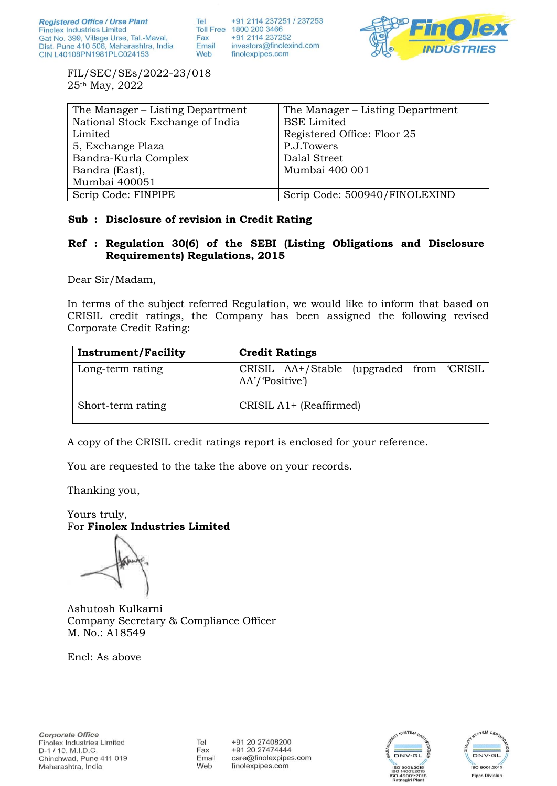+91 2114 237251 / 237253 Tel Toll Free 1800 200 3466 +91 2114 237252 Fax Email investors@finolexind.com Web finolexpipes.com



FIL/SEC/SEs/2022-23/018 25th May, 2022

| The Manager – Listing Department | The Manager – Listing Department |
|----------------------------------|----------------------------------|
| National Stock Exchange of India | <b>BSE</b> Limited               |
| Limited                          | Registered Office: Floor 25      |
| 5, Exchange Plaza                | P.J.Towers                       |
| Bandra-Kurla Complex             | Dalal Street                     |
| Bandra (East),                   | Mumbai 400 001                   |
| Mumbai 400051                    |                                  |
| Scrip Code: FINPIPE              | Scrip Code: 500940/FINOLEXIND    |

# **Sub : Disclosure of revision in Credit Rating**

# **Ref : Regulation 30(6) of the SEBI (Listing Obligations and Disclosure Requirements) Regulations, 2015**

Dear Sir/Madam,

In terms of the subject referred Regulation, we would like to inform that based on CRISIL credit ratings, the Company has been assigned the following revised Corporate Credit Rating:

| <b>Instrument/Facility</b> | <b>Credit Ratings</b>                                       |  |  |  |
|----------------------------|-------------------------------------------------------------|--|--|--|
| Long-term rating           | CRISIL AA+/Stable (upgraded from 'CRISIL<br>AA'/'Positive') |  |  |  |
| Short-term rating          | CRISIL A1+ (Reaffirmed)                                     |  |  |  |

A copy of the CRISIL credit ratings report is enclosed for your reference.

You are requested to the take the above on your records.

Thanking you,

Yours truly, For **Finolex Industries Limited**

Ashutosh Kulkarni Company Secretary & Compliance Officer M. No.: A18549

Encl: As above

Tel Fax Email Web

+91 20 27408200 +91 20 27474444 care@finolexpipes.com finolexpipes.com



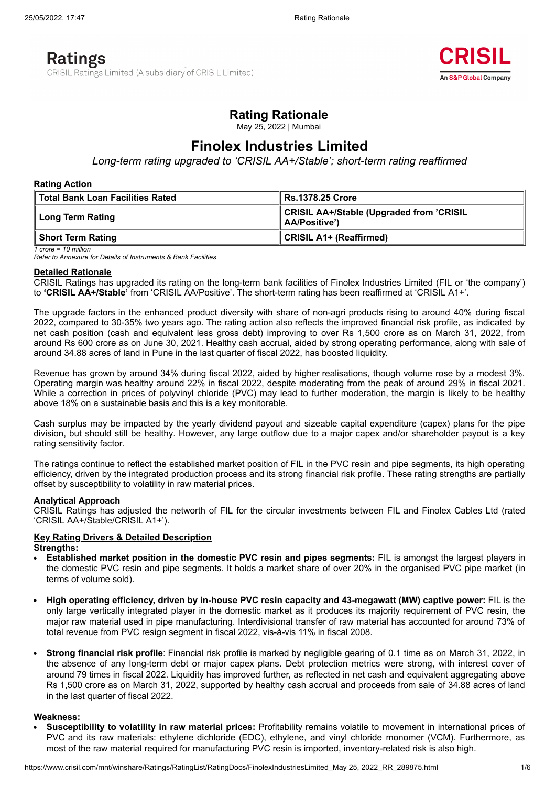# **Ratings**

CRISIL Ratings Limited (A subsidiary of CRISIL Limited)



# **Rating Rationale**

May 25, 2022 | Mumbai

# **Finolex Industries Limited**

*Long-term rating upgraded to 'CRISIL AA+/Stable'; short-term rating reaffirmed*

#### **Rating Action**

| ∣ Total Bank Loan Facilities Rated | ∣ Rs.1378.25 Crore                                               |  |
|------------------------------------|------------------------------------------------------------------|--|
| ∣ Long Term Rating                 | CRISIL AA+/Stable (Upgraded from 'CRISIL<br><b>AA/Positive')</b> |  |
| Short Term Rating                  | CRISIL A1+ (Reaffirmed)                                          |  |

*<sup>1</sup> crore = 10 million*

*Refer to Annexure for Details of Instruments & Bank Facilities*

#### **Detailed Rationale**

CRISIL Ratings has upgraded its rating on the long-term bank facilities of Finolex Industries Limited (FIL or 'the company') to **'CRISIL AA+/Stable'** from 'CRISIL AA/Positive'. The short-term rating has been reaffirmed at 'CRISIL A1+'.

The upgrade factors in the enhanced product diversity with share of non-agri products rising to around 40% during fiscal 2022, compared to 30-35% two years ago. The rating action also reflects the improved financial risk profile, as indicated by net cash position (cash and equivalent less gross debt) improving to over Rs 1,500 crore as on March 31, 2022, from around Rs 600 crore as on June 30, 2021. Healthy cash accrual, aided by strong operating performance, along with sale of around 34.88 acres of land in Pune in the last quarter of fiscal 2022, has boosted liquidity.

Revenue has grown by around 34% during fiscal 2022, aided by higher realisations, though volume rose by a modest 3%. Operating margin was healthy around 22% in fiscal 2022, despite moderating from the peak of around 29% in fiscal 2021. While a correction in prices of polyvinyl chloride (PVC) may lead to further moderation, the margin is likely to be healthy above 18% on a sustainable basis and this is a key monitorable.

Cash surplus may be impacted by the yearly dividend payout and sizeable capital expenditure (capex) plans for the pipe division, but should still be healthy. However, any large outflow due to a major capex and/or shareholder payout is a key rating sensitivity factor.

The ratings continue to reflect the established market position of FIL in the PVC resin and pipe segments, its high operating efficiency, driven by the integrated production process and its strong financial risk profile. These rating strengths are partially offset by susceptibility to volatility in raw material prices.

### **Analytical Approach**

CRISIL Ratings has adjusted the networth of FIL for the circular investments between FIL and Finolex Cables Ltd (rated 'CRISIL AA+/Stable/CRISIL A1+').

#### **Key Rating Drivers & Detailed Description Strengths:**

- **Established market position in the domestic PVC resin and pipes segments:** FIL is amongst the largest players in the domestic PVC resin and pipe segments. It holds a market share of over 20% in the organised PVC pipe market (in terms of volume sold).
- **High operating efficiency, driven by in-house PVC resin capacity and 43-megawatt (MW) captive power:** FIL is the only large vertically integrated player in the domestic market as it produces its majority requirement of PVC resin, the major raw material used in pipe manufacturing. Interdivisional transfer of raw material has accounted for around 73% of total revenue from PVC resign segment in fiscal 2022, vis-à-vis 11% in fiscal 2008.
- **Strong financial risk profile**: Financial risk profile is marked by negligible gearing of 0.1 time as on March 31, 2022, in the absence of any long-term debt or major capex plans. Debt protection metrics were strong, with interest cover of around 79 times in fiscal 2022. Liquidity has improved further, as reflected in net cash and equivalent aggregating above Rs 1,500 crore as on March 31, 2022, supported by healthy cash accrual and proceeds from sale of 34.88 acres of land in the last quarter of fiscal 2022.

#### **Weakness:**

**Susceptibility to volatility in raw material prices:** Profitability remains volatile to movement in international prices of PVC and its raw materials: ethylene dichloride (EDC), ethylene, and vinyl chloride monomer (VCM). Furthermore, as most of the raw material required for manufacturing PVC resin is imported, inventory-related risk is also high.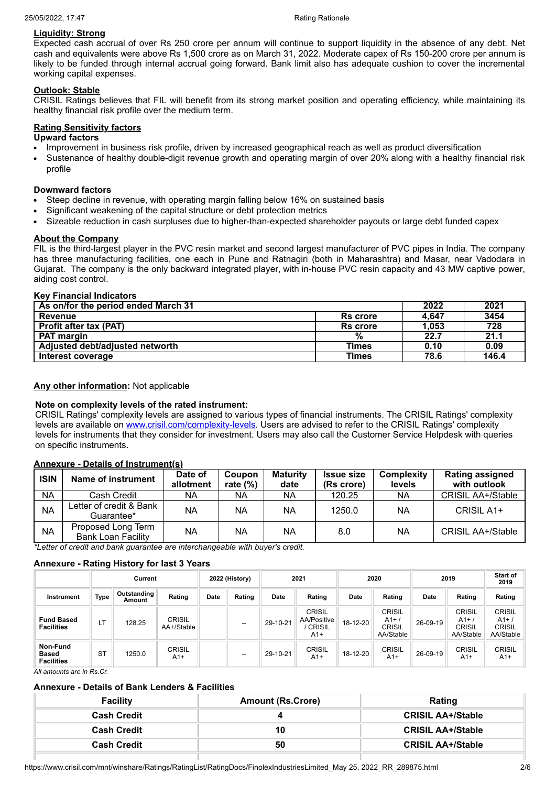## **Liquidity: Strong**

Expected cash accrual of over Rs 250 crore per annum will continue to support liquidity in the absence of any debt. Net cash and equivalents were above Rs 1,500 crore as on March 31, 2022. Moderate capex of Rs 150-200 crore per annum is likely to be funded through internal accrual going forward. Bank limit also has adequate cushion to cover the incremental working capital expenses.

## **Outlook: Stable**

CRISIL Ratings believes that FIL will benefit from its strong market position and operating efficiency, while maintaining its healthy financial risk profile over the medium term.

### **Rating Sensitivity factors**

#### **Upward factors**

- Improvement in business risk profile, driven by increased geographical reach as well as product diversification
- Sustenance of healthy double-digit revenue growth and operating margin of over 20% along with a healthy financial risk  $\bullet$ profile

### **Downward factors**

- Steep decline in revenue, with operating margin falling below 16% on sustained basis
- Significant weakening of the capital structure or debt protection metrics
- Sizeable reduction in cash surpluses due to higher-than-expected shareholder payouts or large debt funded capex

### **About the Company**

FIL is the third-largest player in the PVC resin market and second largest manufacturer of PVC pipes in India. The company has three manufacturing facilities, one each in Pune and Ratnagiri (both in Maharashtra) and Masar, near Vadodara in Gujarat. The company is the only backward integrated player, with in-house PVC resin capacity and 43 MW captive power, aiding cost control.

#### **Key Financial Indicators**

| As on/for the period ended March 31 |                 | 2022  | 2021  |
|-------------------------------------|-----------------|-------|-------|
| <b>Revenue</b>                      | <b>Rs</b> crore | 4.647 | 3454  |
| <b>Profit after tax (PAT)</b>       | Rs crore        | 1.053 | 728   |
| <b>PAT margin</b>                   | %               | 22.7  | 21.1  |
| Adjusted debt/adjusted networth     | Times           | 0.10  | 0.09  |
| Interest coverage                   | Times           | 78.6  | 146.4 |

### **Any other information:** Not applicable

### **Note on complexity levels of the rated instrument:**

CRISIL Ratings' complexity levels are assigned to various types of financial instruments. The CRISIL Ratings' complexity levels are available on [www.crisil.com/complexity-levels.](http://www.crisil.com/complexity-levels) Users are advised to refer to the CRISIL Ratings' complexity levels for instruments that they consider for investment. Users may also call the Customer Service Helpdesk with queries on specific instruments.

### **Annexure - Details of Instrument(s)**

| <b>ISIN</b> | Name of instrument                              | Date of<br>allotment | Coupon<br>rate $(%)$ | <b>Maturity</b><br>date | <b>Issue size</b><br>(Rs crore) | Complexity<br>levels | <b>Rating assigned</b><br>with outlook |
|-------------|-------------------------------------------------|----------------------|----------------------|-------------------------|---------------------------------|----------------------|----------------------------------------|
| <b>NA</b>   | Cash Credit                                     | NA                   | NA                   | ΝA                      | 120.25                          | NA                   | CRISIL AA+/Stable                      |
| <b>NA</b>   | Letter of credit & Bank<br>Guarantee*           | NA                   | NA.                  | <b>NA</b>               | 1250.0                          | ΝA                   | CRISIL A1+                             |
| <b>NA</b>   | Proposed Long Term<br><b>Bank Loan Facility</b> | NA                   | NA                   | <b>NA</b>               | 8.0                             | NA                   | CRISIL AA+/Stable                      |

*\*Letter of credit and bank guarantee are interchangeable with buyer's credit.*

### **Annexure - Rating History for last 3 Years**

|                                               |           | Current                      |                      |      | 2022 (History)           |          | 2021                                                   |          | 2020                                                 |          | 2019                                                 | Start of<br>2019                              |
|-----------------------------------------------|-----------|------------------------------|----------------------|------|--------------------------|----------|--------------------------------------------------------|----------|------------------------------------------------------|----------|------------------------------------------------------|-----------------------------------------------|
| Instrument                                    | Type      | <b>Outstanding</b><br>Amount | Rating               | Date | Rating                   | Date     | Rating                                                 | Date     | Rating                                               | Date     | Rating                                               | Rating                                        |
| <b>Fund Based</b><br><b>Facilities</b>        | LΤ        | 128.25                       | CRISIL<br>AA+/Stable |      | $\overline{\phantom{a}}$ | 29-10-21 | <b>CRISIL</b><br>AA/Positive<br><b>CRISIL</b><br>$A1+$ | 18-12-20 | <b>CRISIL</b><br>$A1+$<br><b>CRISIL</b><br>AA/Stable | 26-09-19 | <b>CRISIL</b><br>$A1+$<br><b>CRISIL</b><br>AA/Stable | CRISIL<br>A1+ /<br><b>CRISIL</b><br>AA/Stable |
| Non-Fund<br><b>Based</b><br><b>Facilities</b> | <b>ST</b> | 1250.0                       | <b>CRISIL</b><br>A1+ |      | $\overline{\phantom{a}}$ | 29-10-21 | <b>CRISIL</b><br>$A1+$                                 | 18-12-20 | <b>CRISIL</b><br>$A1+$                               | 26-09-19 | <b>CRISIL</b><br>$A1+$                               | <b>CRISIL</b><br>$A1+$                        |

*All amounts are in Rs.Cr.*

### **Annexure - Details of Bank Lenders & Facilities**

| <b>Facility</b>    | <b>Amount (Rs.Crore)</b> | Rating                   |
|--------------------|--------------------------|--------------------------|
| <b>Cash Credit</b> |                          | <b>CRISIL AA+/Stable</b> |
| <b>Cash Credit</b> | 10                       | <b>CRISIL AA+/Stable</b> |
| <b>Cash Credit</b> | 50                       | <b>CRISIL AA+/Stable</b> |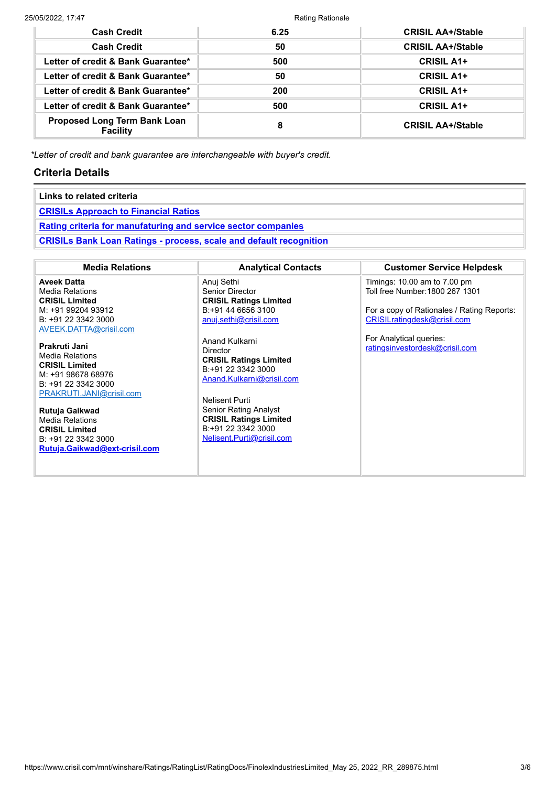| <b>Cash Credit</b>                              | 6.25 | <b>CRISIL AA+/Stable</b> |
|-------------------------------------------------|------|--------------------------|
| <b>Cash Credit</b>                              | 50   | <b>CRISIL AA+/Stable</b> |
| Letter of credit & Bank Guarantee*              | 500  | <b>CRISIL A1+</b>        |
| Letter of credit & Bank Guarantee*              | 50   | <b>CRISIL A1+</b>        |
| Letter of credit & Bank Guarantee*              | 200  | <b>CRISIL A1+</b>        |
| Letter of credit & Bank Guarantee*              | 500  | <b>CRISIL A1+</b>        |
| <b>Proposed Long Term Bank Loan</b><br>Facility | 8    | <b>CRISIL AA+/Stable</b> |

*\*Letter of credit and bank guarantee are interchangeable with buyer's credit.*

## **Criteria Details**

| Links to related criteria                                                 |                            |                                  |  |  |  |
|---------------------------------------------------------------------------|----------------------------|----------------------------------|--|--|--|
| <b>CRISILs Approach to Financial Ratios</b>                               |                            |                                  |  |  |  |
| <b>Rating criteria for manufaturing and service sector companies</b>      |                            |                                  |  |  |  |
| <b>CRISILs Bank Loan Ratings - process, scale and default recognition</b> |                            |                                  |  |  |  |
|                                                                           |                            |                                  |  |  |  |
| <b>Media Relations</b>                                                    | <b>Analytical Contacts</b> | <b>Customer Service Helpdesk</b> |  |  |  |

**Aveek Datta** Media Relations **CRISIL Limited** M: +91 99204 93912 B: +91 22 3342 3000 [AVEEK.DATTA@crisil.com](mailto:AVEEK.DATTA@crisil.com)

**Prakruti Jani** Media Relations **CRISIL Limited** M: +91 98678 68976 B: +91 22 3342 3000 [PRAKRUTI.JANI@crisil.com](mailto:PRAKRUTI.JANI@crisil.com)

**Rutuja Gaikwad** Media Relations **CRISIL Limited** B: +91 22 3342 3000 **[Rutuja.Gaikwad@ext-crisil.com](mailto:Rutuja.Gaikwad@ext-crisil.com)** Anuj Sethi Senior Director **CRISIL Ratings Limited** B:+91 44 6656 3100 [anuj.sethi@crisil.com](https://www.crisil.com/mnt/winshare/Ratings/RatingList/RatingDocs/anuj.sethi@crisil.com)

Anand Kulkarni Director **CRISIL Ratings Limited** B:+91 22 3342 3000 [Anand.Kulkarni@crisil.com](https://www.crisil.com/mnt/winshare/Ratings/RatingList/RatingDocs/Anand.Kulkarni@crisil.com)

Nelisent Purti Senior Rating Analyst **CRISIL Ratings Limited** B:+91 22 3342 3000 [Nelisent.Purti@crisil.com](https://www.crisil.com/mnt/winshare/Ratings/RatingList/RatingDocs/Nelisent.Purti@crisil.com) Timings: 10.00 am to 7.00 pm Toll free Number:1800 267 1301

For a copy of Rationales / Rating Reports: [CRISILratingdesk@crisil.com](mailto:CRISILratingdesk@crisil.com)

For Analytical queries: [ratingsinvestordesk@crisil.com](mailto:ratingsinvestordesk@crisil.com)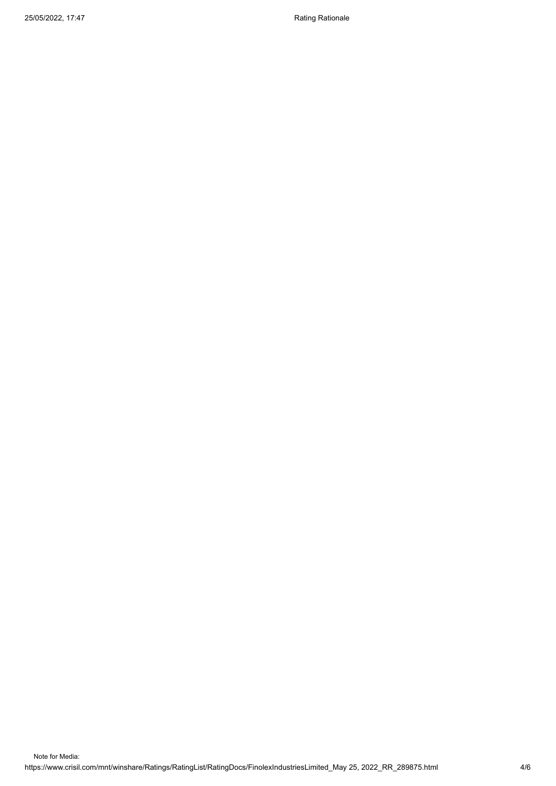25/05/2022, 17:47 Rating Rationale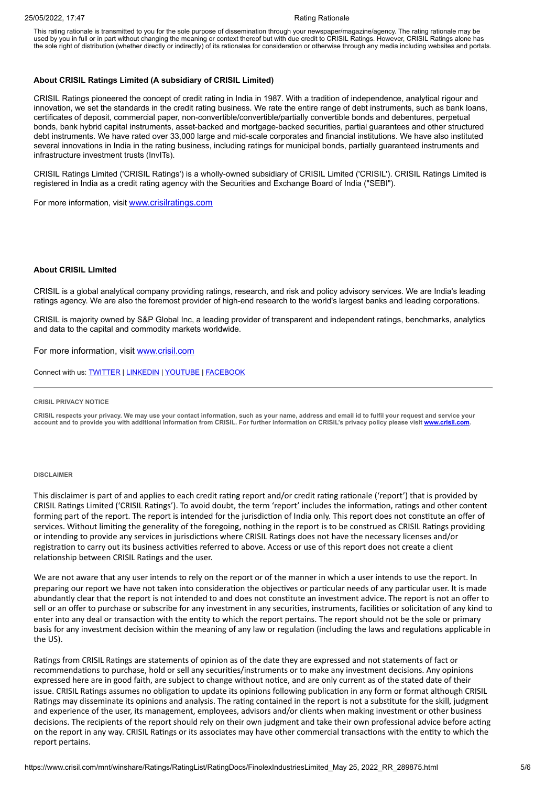This rating rationale is transmitted to you for the sole purpose of dissemination through your newspaper/magazine/agency. The rating rationale may be used by you in full or in part without changing the meaning or context thereof but with due credit to CRISIL Ratings. However, CRISIL Ratings alone has the sole right of distribution (whether directly or indirectly) of its rationales for consideration or otherwise through any media including websites and portals.

#### **About CRISIL Ratings Limited (A subsidiary of CRISIL Limited)**

CRISIL Ratings pioneered the concept of credit rating in India in 1987. With a tradition of independence, analytical rigour and innovation, we set the standards in the credit rating business. We rate the entire range of debt instruments, such as bank loans, certificates of deposit, commercial paper, non-convertible/convertible/partially convertible bonds and debentures, perpetual bonds, bank hybrid capital instruments, asset-backed and mortgage-backed securities, partial guarantees and other structured debt instruments. We have rated over 33,000 large and mid-scale corporates and financial institutions. We have also instituted several innovations in India in the rating business, including ratings for municipal bonds, partially guaranteed instruments and infrastructure investment trusts (InvITs).

CRISIL Ratings Limited ('CRISIL Ratings') is a wholly-owned subsidiary of CRISIL Limited ('CRISIL'). CRISIL Ratings Limited is registered in India as a credit rating agency with the Securities and Exchange Board of India ("SEBI").

For more information, visit [www.crisilratings.com](http://www.crisilratings.com/)

#### **About CRISIL Limited**

CRISIL is a global analytical company providing ratings, research, and risk and policy advisory services. We are India's leading ratings agency. We are also the foremost provider of high-end research to the world's largest banks and leading corporations.

CRISIL is majority owned by S&P Global Inc, a leading provider of transparent and independent ratings, benchmarks, analytics and data to the capital and commodity markets worldwide.

For more information, visit [www.crisil.com](http://www.crisil.com/)

Connect with us: [TWITTER](https://twitter.com/CRISILLimited) | [LINKEDIN](http://www.linkedin.com/company/crisil) | [YOUTUBE](https://www.youtube.com/user/CRISILLimited) | [FACEBOOK](https://www.facebook.com/CRISILLimited)

#### **CRISIL PRIVACY NOTICE**

CRISIL respects your privacy. We may use your contact information, such as your name, address and email id to fulfil your request and service your account and to provide you with additional information from CRISIL. For further information on CRISIL's privacy policy please visit www.crisil.com

#### **DISCLAIMER**

This disclaimer is part of and applies to each credit rating report and/or credit rating rationale ('report') that is provided by CRISIL Ratings Limited ('CRISIL Ratings'). To avoid doubt, the term 'report' includes the information, ratings and other content forming part of the report. The report is intended for the jurisdiction of India only. This report does not constitute an offer of services. Without limiting the generality of the foregoing, nothing in the report is to be construed as CRISIL Ratings providing or intending to provide any services in jurisdictions where CRISIL Ratings does not have the necessary licenses and/or registration to carry out its business activities referred to above. Access or use of this report does not create a client relationship between CRISIL Ratings and the user.

We are not aware that any user intends to rely on the report or of the manner in which a user intends to use the report. In preparing our report we have not taken into consideration the objectives or particular needs of any particular user. It is made abundantly clear that the report is not intended to and does not constitute an investment advice. The report is not an offer to sell or an offer to purchase or subscribe for any investment in any securities, instruments, facilities or solicitation of any kind to enter into any deal or transaction with the entity to which the report pertains. The report should not be the sole or primary basis for any investment decision within the meaning of any law or regulation (including the laws and regulations applicable in the US).

Ratings from CRISIL Ratings are statements of opinion as of the date they are expressed and not statements of fact or recommendations to purchase, hold or sell any securities/instruments or to make any investment decisions. Any opinions expressed here are in good faith, are subject to change without notice, and are only current as of the stated date of their issue. CRISIL Ratings assumes no obligation to update its opinions following publication in any form or format although CRISIL Ratings may disseminate its opinions and analysis. The rating contained in the report is not a substitute for the skill, judgment and experience of the user, its management, employees, advisors and/or clients when making investment or other business decisions. The recipients of the report should rely on their own judgment and take their own professional advice before acting on the report in any way. CRISIL Ratings or its associates may have other commercial transactions with the entity to which the report pertains.